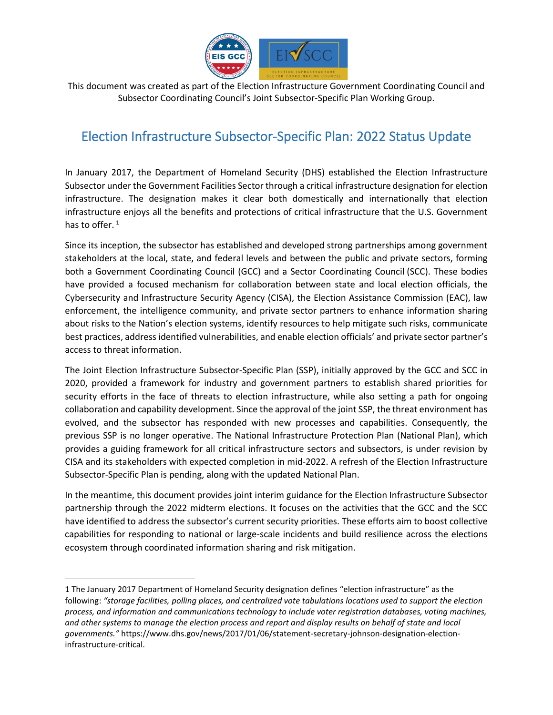

 This document was created as part of the Election Infrastructure Government Coordinating Council and Subsector Coordinating Council's Joint Subsector-Specific Plan Working Group.

# Election Infrastructure Subsector-Specific Plan: 2022 Status Update

In January 2017, the Department of Homeland Security (DHS) established the Election Infrastructure Subsector under the Government Facilities Sector through a critical infrastructure designation for election infrastructure. The designation makes it clear both domestically and internationally that election infrastructure enjoys all the benefits and protections of critical infrastructure that the U.S. Government has to offer.  $1$ 

Since its inception, the subsector has established and developed strong partnerships among government stakeholders at the local, state, and federal levels and between the public and private sectors, forming both a Government Coordinating Council (GCC) and a Sector Coordinating Council (SCC). These bodies have provided a focused mechanism for collaboration between state and local election officials, the Cybersecurity and Infrastructure Security Agency (CISA), the Election Assistance Commission (EAC), law enforcement, the intelligence community, and private sector partners to enhance information sharing about risks to the Nation's election systems, identify resources to help mitigate such risks, communicate best practices, address identified vulnerabilities, and enable election officials' and private sector partner's access to threat information.

The Joint Election Infrastructure Subsector-Specific Plan (SSP), initially approved by the GCC and SCC in 2020, provided a framework for industry and government partners to establish shared priorities for security efforts in the face of threats to election infrastructure, while also setting a path for ongoing collaboration and capability development. Since the approval of the joint SSP, the threat environment has evolved, and the subsector has responded with new processes and capabilities. Consequently, the previous SSP is no longer operative. The National Infrastructure Protection Plan (National Plan), which provides a guiding framework for all critical infrastructure sectors and subsectors, is under revision by CISA and its stakeholders with expected completion in mid-2022. A refresh of the Election Infrastructure Subsector-Specific Plan is pending, along with the updated National Plan.

In the meantime, this document provides joint interim guidance for the Election Infrastructure Subsector partnership through the 2022 midterm elections. It focuses on the activities that the GCC and the SCC have identified to address the subsector's current security priorities. These efforts aim to boost collective capabilities for responding to national or large-scale incidents and build resilience across the elections ecosystem through coordinated information sharing and risk mitigation.

<span id="page-0-0"></span><sup>1</sup> The January 2017 Department of Homeland Security designation defines "election infrastructure" as the following: *"storage facilities, polling places, and centralized vote tabulations locations used to support the election process, and information and communications technology to include voter registration databases, voting machines, and other systems to manage the election process and report and display results on behalf of state and local governments."* [https://www.dhs.gov/news/2017/01/06/statement-secretary-johnson-designation-election](https://www.dhs.gov/news/2017/01/06/statement-secretary-johnson-designation-election-infrastructure-critical)[infrastructure-critical.](https://www.dhs.gov/news/2017/01/06/statement-secretary-johnson-designation-election-infrastructure-critical)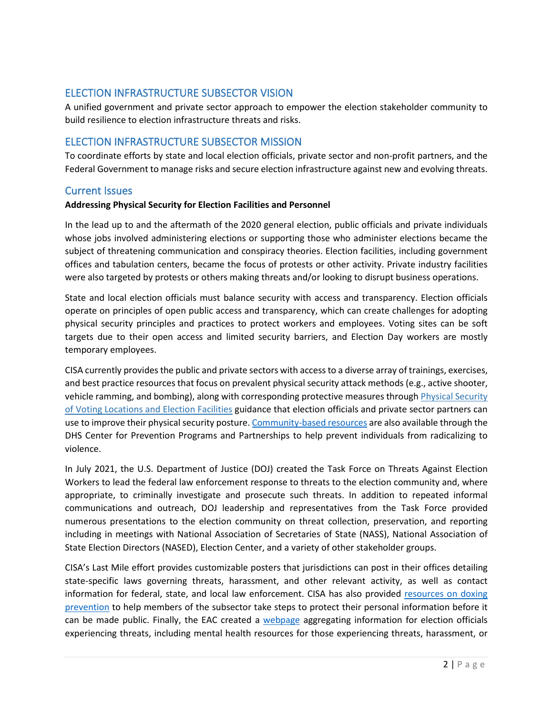# ELECTION INFRASTRUCTURE SUBSECTOR VISION

A unified government and private sector approach to empower the election stakeholder community to build resilience to election infrastructure threats and risks.

# ELECTION INFRASTRUCTURE SUBSECTOR MISSION

To coordinate efforts by state and local election officials, private sector and non-profit partners, and the Federal Government to manage risks and secure election infrastructure against new and evolving threats.

## Current Issues

#### **Addressing Physical Security for Election Facilities and Personnel**

In the lead up to and the aftermath of the 2020 general election, public officials and private individuals whose jobs involved administering elections or supporting those who administer elections became the subject of threatening communication and conspiracy theories. Election facilities, including government offices and tabulation centers, became the focus of protests or other activity. Private industry facilities were also targeted by protests or others making threats and/or looking to disrupt business operations.

State and local election officials must balance security with access and transparency. Election officials operate on principles of open public access and transparency, which can create challenges for adopting physical security principles and practices to protect workers and employees. Voting sites can be soft targets due to their open access and limited security barriers, and Election Day workers are mostly temporary employees.

CISA currently provides the public and private sectors with access to a diverse array of trainings, exercises, and best practice resources that focus on prevalent physical security attack methods (e.g., active shooter, vehicle ramming, and bombing), along with corresponding protective measures through [Physical Security](https://www.cisa.gov/sites/default/files/publications/physical-security-of-voting-location-election-facilities_v2_508.pdf)  [of Voting Locations and Election Facilities](https://www.cisa.gov/sites/default/files/publications/physical-security-of-voting-location-election-facilities_v2_508.pdf) guidance that election officials and private sector partners can use to improve their physical security posture. [Community-based resources](https://www.dhs.gov/CP3) are also available through the DHS Center for Prevention Programs and Partnerships to help prevent individuals from radicalizing to violence.

In July 2021, the U.S. Department of Justice (DOJ) created the Task Force on Threats Against Election Workers to lead the federal law enforcement response to threats to the election community and, where appropriate, to criminally investigate and prosecute such threats. In addition to repeated informal communications and outreach, DOJ leadership and representatives from the Task Force provided numerous presentations to the election community on threat collection, preservation, and reporting including in meetings with National Association of Secretaries of State (NASS), National Association of State Election Directors (NASED), Election Center, and a variety of other stakeholder groups.

CISA's Last Mile effort provides customizable posters that jurisdictions can post in their offices detailing state-specific laws governing threats, harassment, and other relevant activity, as well as contact information for federal, state, and local law enforcement. CISA has also provided resources on doxing [prevention](https://www.cisa.gov/sites/default/files/publications/CISA%20Insight_Mitigating%20the%20Impacts%20of%20Doxing_508.pdf) to help members of the subsector take steps to protect their personal information before it can be made public. Finally, the EAC created a [webpage](https://www.eac.gov/election-officials/election-official-security) aggregating information for election officials experiencing threats, including mental health resources for those experiencing threats, harassment, or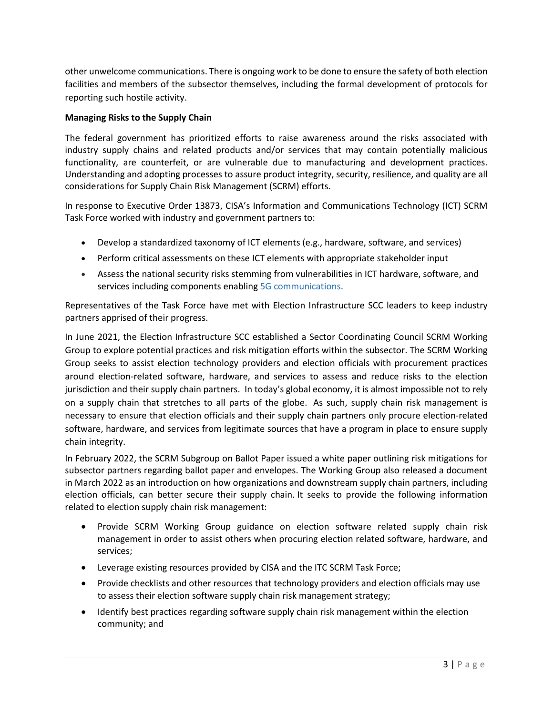other unwelcome communications. There is ongoing work to be done to ensure the safety of both election facilities and members of the subsector themselves, including the formal development of protocols for reporting such hostile activity.

### **Managing Risks to the Supply Chain**

The federal government has prioritized efforts to raise awareness around the risks associated with industry supply chains and related products and/or services that may contain potentially malicious functionality, are counterfeit, or are vulnerable due to manufacturing and development practices. Understanding and adopting processes to assure product integrity, security, resilience, and quality are all considerations for Supply Chain Risk Management (SCRM) efforts.

In response to Executive Order 13873, CISA's Information and Communications Technology (ICT) SCRM Task Force worked with industry and government partners to:

- Develop a standardized taxonomy of ICT elements (e.g., hardware, software, and services)
- Perform critical assessments on these ICT elements with appropriate stakeholder input
- Assess the national security risks stemming from vulnerabilities in ICT hardware, software, and services including components enabling [5G communications.](https://www.cisa.gov/5g)

Representatives of the Task Force have met with Election Infrastructure SCC leaders to keep industry partners apprised of their progress.

In June 2021, the Election Infrastructure SCC established a Sector Coordinating Council SCRM Working Group to explore potential practices and risk mitigation efforts within the subsector. The SCRM Working Group seeks to assist election technology providers and election officials with procurement practices around election-related software, hardware, and services to assess and reduce risks to the election jurisdiction and their supply chain partners. In today's global economy, it is almost impossible not to rely on a supply chain that stretches to all parts of the globe. As such, supply chain risk management is necessary to ensure that election officials and their supply chain partners only procure election-related software, hardware, and services from legitimate sources that have a program in place to ensure supply chain integrity.

In February 2022, the SCRM Subgroup on Ballot Paper issued a white paper outlining risk mitigations for subsector partners regarding ballot paper and envelopes. The Working Group also released a document in March 2022 as an introduction on how organizations and downstream supply chain partners, including election officials, can better secure their supply chain. It seeks to provide the following information related to election supply chain risk management:

- Provide SCRM Working Group guidance on election software related supply chain risk management in order to assist others when procuring election related software, hardware, and services;
- Leverage existing resources provided by CISA and the ITC SCRM Task Force;
- Provide checklists and other resources that technology providers and election officials may use to assess their election software supply chain risk management strategy;
- Identify best practices regarding software supply chain risk management within the election community; and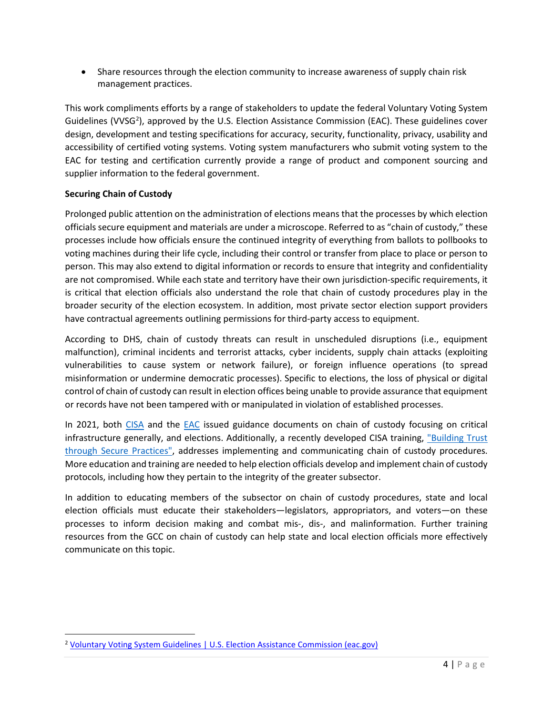• Share resources through the election community to increase awareness of supply chain risk management practices.

This work compliments efforts by a range of stakeholders to update the federal Voluntary Voting System Guidelines (VVSG<sup>2</sup>), approved by the U.S. Election Assistance Commission (EAC). These guidelines cover design, development and testing specifications for accuracy, security, functionality, privacy, usability and accessibility of certified voting systems. Voting system manufacturers who submit voting system to the EAC for testing and certification currently provide a range of product and component sourcing and supplier information to the federal government.

## **Securing Chain of Custody**

Prolonged public attention on the administration of elections means that the processes by which election officials secure equipment and materials are under a microscope. Referred to as "chain of custody," these processes include how officials ensure the continued integrity of everything from ballots to pollbooks to voting machines during their life cycle, including their control or transfer from place to place or person to person. This may also extend to digital information or records to ensure that integrity and confidentiality are not compromised. While each state and territory have their own jurisdiction-specific requirements, it is critical that election officials also understand the role that chain of custody procedures play in the broader security of the election ecosystem. In addition, most private sector election support providers have contractual agreements outlining permissions for third-party access to equipment.

According to DHS, chain of custody threats can result in unscheduled disruptions (i.e., equipment malfunction), criminal incidents and terrorist attacks, cyber incidents, supply chain attacks (exploiting vulnerabilities to cause system or network failure), or foreign influence operations (to spread misinformation or undermine democratic processes). Specific to elections, the loss of physical or digital control of chain of custody can result in election offices being unable to provide assurance that equipment or records have not been tampered with or manipulated in violation of established processes.

In 2021, both [CISA](https://www.cisa.gov/sites/default/files/publications/cisa-insights_chain-of-custody-and-ci-systems_508.pdf) and the [EAC](https://www.eac.gov/election-officials/chain-custody-best-practices) issued guidance documents on chain of custody focusing on critical infrastructure generally, and elections. Additionally, a recently developed CISA training, "Building Trust [through Secure Practices",](https://www.youtube.com/watch?v=LiCxQJl5wik&list=PL-BF3N9rHBLLv_JTmmPqVWWrMgFFUCiuf&index=5) addresses implementing and communicating chain of custody procedures. More education and training are needed to help election officials develop and implement chain of custody protocols, including how they pertain to the integrity of the greater subsector.

In addition to educating members of the subsector on chain of custody procedures, state and local election officials must educate their stakeholders—legislators, appropriators, and voters—on these processes to inform decision making and combat mis-, dis-, and malinformation. Further training resources from the GCC on chain of custody can help state and local election officials more effectively communicate on this topic.

<span id="page-3-0"></span><sup>&</sup>lt;sup>2</sup> Voluntary Voting System Guidelines | U.S. Election Assistance Commission (eac.gov)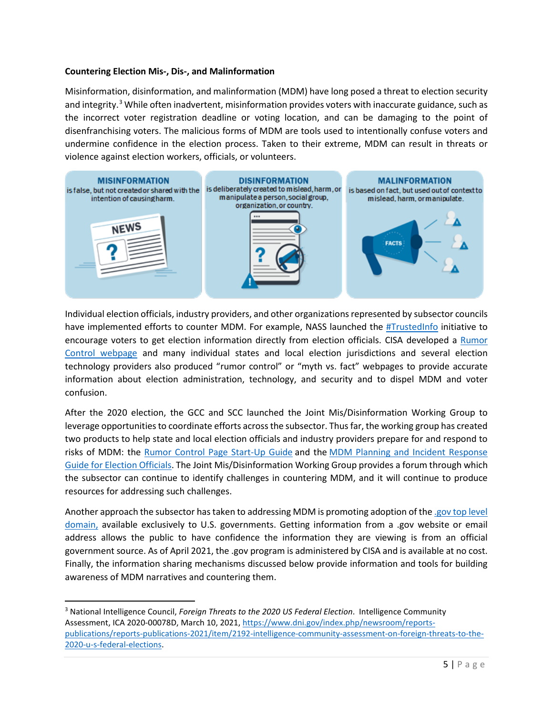#### **Countering Election Mis-, Dis-, and Malinformation**

Misinformation, disinformation, and malinformation (MDM) have long posed a threat to election security and integrity.<sup>[3](#page-4-0)</sup> While often inadvertent, misinformation provides voters with inaccurate guidance, such as the incorrect voter registration deadline or voting location, and can be damaging to the point of disenfranchising voters. The malicious forms of MDM are tools used to intentionally confuse voters and undermine confidence in the election process. Taken to their extreme, MDM can result in threats or violence against election workers, officials, or volunteers.



Individual election officials, industry providers, and other organizations represented by subsector councils have implemented efforts to counter MDM. For example, NASS launched the **#TrustedInfo initiative** to encourage voters to get election information directly from election officials. CISA developed a Rumor [Control webpage](https://www.cisa.gov/rumorcontrol) and many individual states and local election jurisdictions and several election technology providers also produced "rumor control" or "myth vs. fact" webpages to provide accurate information about election administration, technology, and security and to dispel MDM and voter confusion.

After the 2020 election, the GCC and SCC launched the Joint Mis/Disinformation Working Group to leverage opportunities to coordinate efforts across the subsector. Thus far, the working group has created two products to help state and local election officials and industry providers prepare for and respond to risks of MDM: the [Rumor Control Page Start-Up Guide](https://www.cisa.gov/sites/default/files/publications/rumor-control-startup-guide_508.pdf) and the [MDM Planning and Incident Response](https://www.cisa.gov/sites/default/files/publications/mdm-incident-response-guide_508.pdf)  [Guide for Election Officials.](https://www.cisa.gov/sites/default/files/publications/mdm-incident-response-guide_508.pdf) The Joint Mis/Disinformation Working Group provides a forum through which the subsector can continue to identify challenges in countering MDM, and it will continue to produce resources for addressing such challenges.

Another approach the subsector has taken to addressing MDM is promoting adoption of the [.gov top level](https://home.dotgov.gov/about/elections/)  [domain,](https://home.dotgov.gov/about/elections/) available exclusively to U.S. governments. Getting information from a .gov website or email address allows the public to have confidence the information they are viewing is from an official government source. As of April 2021, the .gov program is administered by CISA and is available at no cost. Finally, the information sharing mechanisms discussed below provide information and tools for building awareness of MDM narratives and countering them.

<span id="page-4-0"></span><sup>3</sup> National Intelligence Council, *Foreign Threats to the 2020 US Federal Election*. Intelligence Community Assessment, ICA 2020-00078D, March 10, 2021[, https://www.dni.gov/index.php/newsroom/reports](https://www.dni.gov/index.php/newsroom/reports-publications/reports-publications-2021/item/2192-intelligence-community-assessment-on-foreign-threats-to-the-2020-u-s-federal-elections)[publications/reports-publications-2021/item/2192-intelligence-community-assessment-on-foreign-threats-to-the-](https://www.dni.gov/index.php/newsroom/reports-publications/reports-publications-2021/item/2192-intelligence-community-assessment-on-foreign-threats-to-the-2020-u-s-federal-elections)[2020-u-s-federal-elections.](https://www.dni.gov/index.php/newsroom/reports-publications/reports-publications-2021/item/2192-intelligence-community-assessment-on-foreign-threats-to-the-2020-u-s-federal-elections)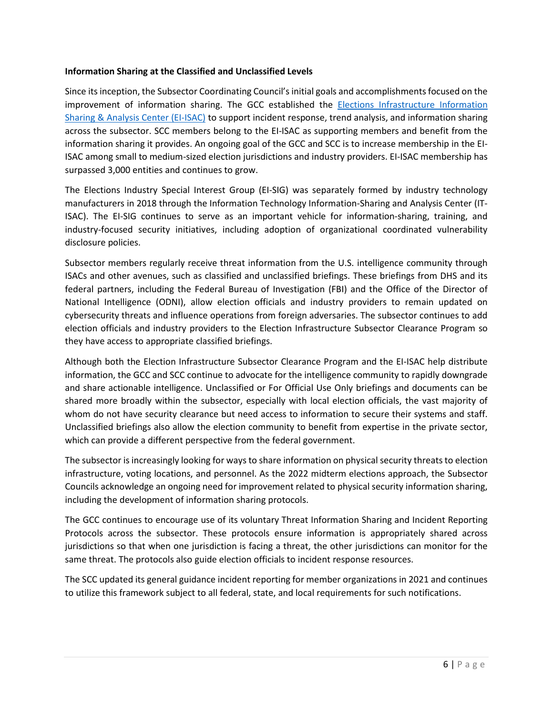#### **Information Sharing at the Classified and Unclassified Levels**

Since its inception, the Subsector Coordinating Council's initial goals and accomplishments focused on the improvement of information sharing. The GCC established the [Elections Infrastructure Information](https://www.cisecurity.org/ei-isac)  [Sharing & Analysis Center \(EI-ISAC\)](https://www.cisecurity.org/ei-isac) to support incident response, trend analysis, and information sharing across the subsector. SCC members belong to the EI-ISAC as supporting members and benefit from the information sharing it provides. An ongoing goal of the GCC and SCC is to increase membership in the EI-ISAC among small to medium-sized election jurisdictions and industry providers. EI-ISAC membership has surpassed 3,000 entities and continues to grow.

The Elections Industry Special Interest Group (EI-SIG) was separately formed by industry technology manufacturers in 2018 through the Information Technology Information-Sharing and Analysis Center (IT-ISAC). The EI-SIG continues to serve as an important vehicle for information-sharing, training, and industry-focused security initiatives, including adoption of organizational coordinated vulnerability disclosure policies.

Subsector members regularly receive threat information from the U.S. intelligence community through ISACs and other avenues, such as classified and unclassified briefings. These briefings from DHS and its federal partners, including the Federal Bureau of Investigation (FBI) and the Office of the Director of National Intelligence (ODNI), allow election officials and industry providers to remain updated on cybersecurity threats and influence operations from foreign adversaries. The subsector continues to add election officials and industry providers to the Election Infrastructure Subsector Clearance Program so they have access to appropriate classified briefings.

Although both the Election Infrastructure Subsector Clearance Program and the EI-ISAC help distribute information, the GCC and SCC continue to advocate for the intelligence community to rapidly downgrade and share actionable intelligence. Unclassified or For Official Use Only briefings and documents can be shared more broadly within the subsector, especially with local election officials, the vast majority of whom do not have security clearance but need access to information to secure their systems and staff. Unclassified briefings also allow the election community to benefit from expertise in the private sector, which can provide a different perspective from the federal government.

The subsector is increasingly looking for ways to share information on physical security threats to election infrastructure, voting locations, and personnel. As the 2022 midterm elections approach, the Subsector Councils acknowledge an ongoing need for improvement related to physical security information sharing, including the development of information sharing protocols.

The GCC continues to encourage use of its voluntary Threat Information Sharing and Incident Reporting Protocols across the subsector. These protocols ensure information is appropriately shared across jurisdictions so that when one jurisdiction is facing a threat, the other jurisdictions can monitor for the same threat. The protocols also guide election officials to incident response resources.

The SCC updated its general guidance incident reporting for member organizations in 2021 and continues to utilize this framework subject to all federal, state, and local requirements for such notifications.